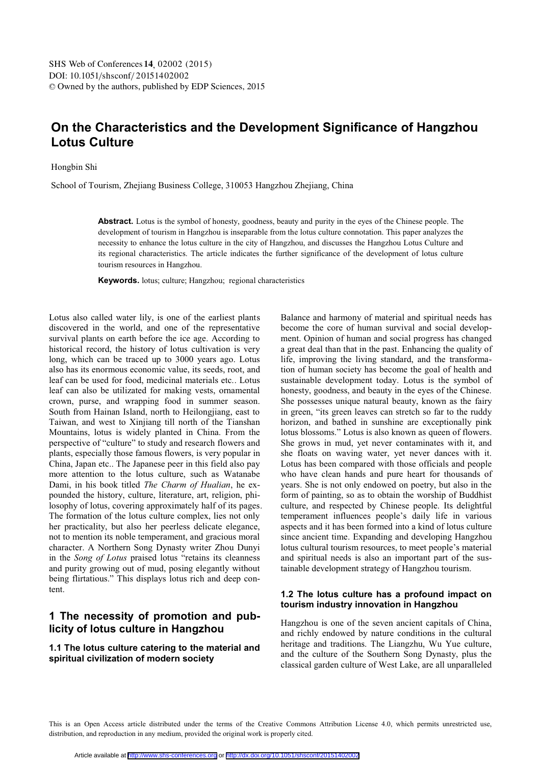# **On the Characteristics and the Development Significance of Hangzhou Lotus Culture**

Hongbin Shi

School of Tourism, Zhejiang Business College, 310053 Hangzhou Zhejiang, China

**Abstract.** Lotus is the symbol of honesty, goodness, beauty and purity in the eyes of the Chinese people. The development of tourism in Hangzhou is inseparable from the lotus culture connotation. This paper analyzes the necessity to enhance the lotus culture in the city of Hangzhou, and discusses the Hangzhou Lotus Culture and its regional characteristics. The article indicates the further significance of the development of lotus culture tourism resources in Hangzhou.

**Keywords.** lotus; culture; Hangzhou; regional characteristics

Lotus also called water lily, is one of the earliest plants discovered in the world, and one of the representative survival plants on earth before the ice age. According to historical record, the history of lotus cultivation is very long, which can be traced up to 3000 years ago. Lotus also has its enormous economic value, its seeds, root, and leaf can be used for food, medicinal materials etc.. Lotus leaf can also be utilizated for making vests, ornamental crown, purse, and wrapping food in summer season. South from Hainan Island, north to Heilongjiang, east to Taiwan, and west to Xinjiang till north of the Tianshan Mountains, lotus is widely planted in China. From the perspective of "culture" to study and research flowers and plants, especially those famous flowers, is very popular in China, Japan etc.. The Japanese peer in this field also pay more attention to the lotus culture, such as Watanabe Dami, in his book titled *The Charm of Hualian*, he expounded the history, culture, literature, art, religion, philosophy of lotus, covering approximately half of its pages. The formation of the lotus culture complex, lies not only her practicality, but also her peerless delicate elegance, not to mention its noble temperament, and gracious moral character. A Northern Song Dynasty writer Zhou Dunyi in the *Song of Lotus* praised lotus "retains its cleanness and purity growing out of mud, posing elegantly without being flirtatious." This displays lotus rich and deep content.

# **1 The necessity of promotion and publicity of lotus culture in Hangzhou**

#### **1.1 The lotus culture catering to the material and spiritual civilization of modern society**

Balance and harmony of material and spiritual needs has become the core of human survival and social development. Opinion of human and social progress has changed a great deal than that in the past. Enhancing the quality of life, improving the living standard, and the transformation of human society has become the goal of health and sustainable development today. Lotus is the symbol of honesty, goodness, and beauty in the eyes of the Chinese. She possesses unique natural beauty, known as the fairy in green, "its green leaves can stretch so far to the ruddy horizon, and bathed in sunshine are exceptionally pink lotus blossoms." Lotus is also known as queen of flowers. She grows in mud, yet never contaminates with it, and she floats on waving water, yet never dances with it. Lotus has been compared with those officials and people who have clean hands and pure heart for thousands of years. She is not only endowed on poetry, but also in the form of painting, so as to obtain the worship of Buddhist culture, and respected by Chinese people. Its delightful temperament influences people's daily life in various aspects and it has been formed into a kind of lotus culture since ancient time. Expanding and developing Hangzhou lotus cultural tourism resources, to meet people's material and spiritual needs is also an important part of the sustainable development strategy of Hangzhou tourism.

#### **1.2 The lotus culture has a profound impact on tourism industry innovation in Hangzhou**

Hangzhou is one of the seven ancient capitals of China, and richly endowed by nature conditions in the cultural heritage and traditions. The Liangzhu, Wu Yue culture, and the culture of the Southern Song Dynasty, plus the classical garden culture of West Lake, are all unparalleled

This is an Open Access article distributed under the terms of the Creative Commons Attribution License 4.0, which permits unrestricted use, distribution, and reproduction in any medium, provided the original work is properly cited.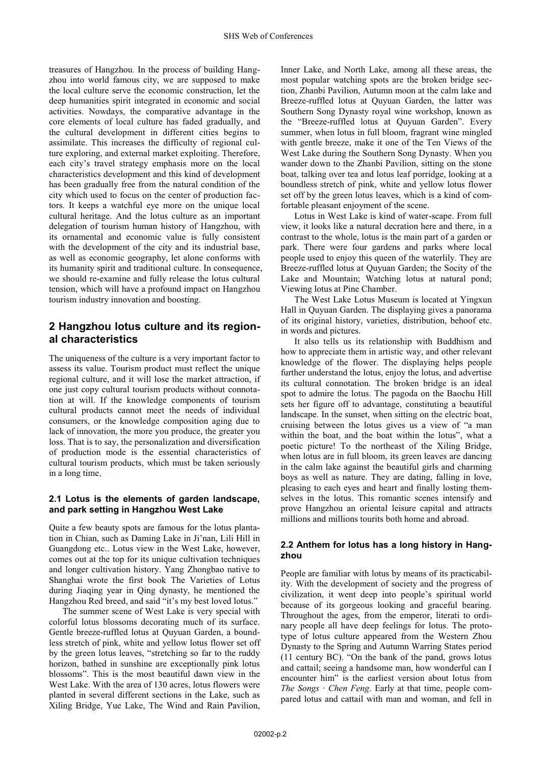treasures of Hangzhou. In the process of building Hangzhou into world famous city, we are supposed to make the local culture serve the economic construction, let the deep humanities spirit integrated in economic and social activities. Nowdays, the comparative advantage in the core elements of local culture has faded gradually, and the cultural development in different cities begins to assimilate. This increases the difficulty of regional culture exploring, and external market exploiting. Therefore, each city's travel strategy emphasis more on the local characteristics development and this kind of development has been gradually free from the natural condition of the city which used to focus on the center of production factors. It keeps a watchful eye more on the unique local cultural heritage. And the lotus culture as an important delegation of tourism human history of Hangzhou, with its ornamental and economic value is fully consistent with the development of the city and its industrial base, as well as economic geography, let alone conforms with its humanity spirit and traditional culture. In consequence, we should re-examine and fully release the lotus cultural tension, which will have a profound impact on Hangzhou tourism industry innovation and boosting.

# **2 Hangzhou lotus culture and its regional characteristics**

The uniqueness of the culture is a very important factor to assess its value. Tourism product must reflect the unique regional culture, and it will lose the market attraction, if one just copy cultural tourism products without connotation at will. If the knowledge components of tourism cultural products cannot meet the needs of individual consumers, or the knowledge composition aging due to lack of innovation, the more you produce, the greater you loss. That is to say, the personalization and diversification of production mode is the essential characteristics of cultural tourism products, which must be taken seriously in a long time

### **2.1 Lotus is the elements of garden landscape, and park setting in Hangzhou West Lake**

Quite a few beauty spots are famous for the lotus plantation in Chian, such as Daming Lake in Ji'nan, Lili Hill in Guangdong etc.. Lotus view in the West Lake, however, comes out at the top for its unique cultivation techniques and longer cultivation history. Yang Zhongbao native to Shanghai wrote the first book The Varieties of Lotus during Jiaqing year in Qing dynasty, he mentioned the Hangzhou Red breed, and said "it's my best loved lotus."

The summer scene of West Lake is very special with colorful lotus blossoms decorating much of its surface. Gentle breeze-ruffled lotus at Quyuan Garden, a boundless stretch of pink, white and yellow lotus flower set off by the green lotus leaves, "stretching so far to the ruddy horizon, bathed in sunshine are exceptionally pink lotus blossoms". This is the most beautiful dawn view in the West Lake. With the area of 130 acres, lotus flowers were planted in several different sections in the Lake, such as Xiling Bridge, Yue Lake, The Wind and Rain Pavilion,

Inner Lake, and North Lake, among all these areas, the most popular watching spots are the broken bridge section, Zhanbi Pavilion, Autumn moon at the calm lake and Breeze-ruffled lotus at Quyuan Garden, the latter was Southern Song Dynasty royal wine workshop, known as the "Breeze-ruffled lotus at Quyuan Garden". Every summer, when lotus in full bloom, fragrant wine mingled with gentle breeze, make it one of the Ten Views of the West Lake during the Southern Song Dynasty. When you wander down to the Zhanbi Pavilion, sitting on the stone boat, talking over tea and lotus leaf porridge, looking at a boundless stretch of pink, white and yellow lotus flower set off by the green lotus leaves, which is a kind of comfortable pleasant enjoyment of the scene.

Lotus in West Lake is kind of water-scape. From full view, it looks like a natural decration here and there, in a contrast to the whole, lotus is the main part of a garden or park. There were four gardens and parks where local people used to enjoy this queen of the waterlily. They are Breeze-ruffled lotus at Quyuan Garden; the Socity of the Lake and Mountain; Watching lotus at natural pond; Viewing lotus at Pine Chamber.

The West Lake Lotus Museum is located at Yingxun Hall in Quyuan Garden. The displaying gives a panorama of its original history, varieties, distribution, behoof etc. in words and pictures.

It also tells us its relationship with Buddhism and how to appreciate them in artistic way, and other relevant knowledge of the flower. The displaying helps people further understand the lotus, enjoy the lotus, and advertise its cultural connotation. The broken bridge is an ideal spot to admire the lotus. The pagoda on the Baochu Hill sets her figure off to advantage, constituting a beautiful landscape. In the sunset, when sitting on the electric boat, cruising between the lotus gives us a view of "a man within the boat, and the boat within the lotus", what a poetic picture! To the northeast of the Xiling Bridge, when lotus are in full bloom, its green leaves are dancing in the calm lake against the beautiful girls and charming boys as well as nature. They are dating, falling in love, pleasing to each eyes and heart and finally losting themselves in the lotus. This romantic scenes intensify and prove Hangzhou an oriental leisure capital and attracts millions and millions tourits both home and abroad.

### **2.2 Anthem for lotus has a long history in Hangzhou**

People are familiar with lotus by means of its practicability. With the development of society and the progress of civilization, it went deep into people's spiritual world because of its gorgeous looking and graceful bearing. Throughout the ages, from the emperor, literati to ordinary people all have deep feelings for lotus. The prototype of lotus culture appeared from the Western Zhou Dynasty to the Spring and Autumn Warring States period (11 century BC). "On the bank of the pand, grows lotus and cattail; seeing a handsome man, how wonderful can I encounter him" is the earliest version about lotus from *The Songs · Chen Feng*. Early at that time, people compared lotus and cattail with man and woman, and fell in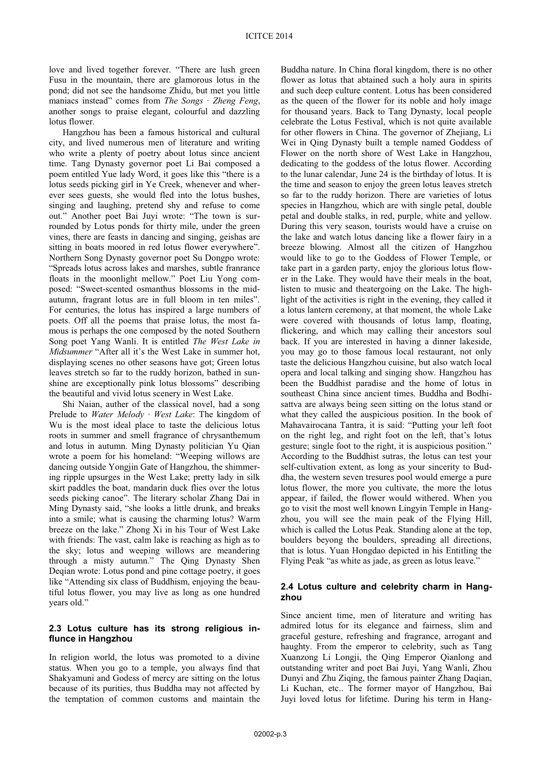love and lived together forever. "There are lush green Fusu in the mountain, there are glamorous lotus in the pond; did not see the handsome Zhidu, but met you little maniacs instead" comes from *The Songs · Zheng Feng*, another songs to praise elegant, colourful and dazzling lotus flower.

Hangzhou has been a famous historical and cultural city, and lived numerous men of literature and writing who write a plenty of poetry about lotus since ancient time. Tang Dynasty governor poet Li Bai composed a poem entitled Yue lady Word, it goes like this "there is a lotus seeds picking girl in Ye Creek, whenever and wherever sees guests, she would fled into the lotus bushes, singing and laughing, pretend shy and refuse to come out." Another poet Bai Juyi wrote: "The town is surrounded by Lotus ponds for thirty mile, under the green vines, there are feasts in dancing and singing, geishas are sitting in boats moored in red lotus flower everywhere". Northern Song Dynasty governor poet Su Dongpo wrote: "Spreads lotus across lakes and marshes, subtle franrance floats in the moonlight mellow." Poet Liu Yong composed: "Sweet-scented osmanthus blossoms in the midautumn, fragrant lotus are in full bloom in ten miles". For centuries, the lotus has inspired a large numbers of poets. Off all the poems that praise lotus, the most famous is perhaps the one composed by the noted Southern Song poet Yang Wanli. It is entitled *The West Lake in Midsummer* "After all it's the West Lake in summer hot, displaying scenes no other seasons have got; Green lotus leaves stretch so far to the ruddy horizon, bathed in sunshine are exceptionally pink lotus blossoms" describing the beautiful and vivid lotus scenery in West Lake.

Shi Naian, auther of the classical novel, had a song Prelude to *Water Melody · West Lake*: The kingdom of Wu is the most ideal place to taste the delicious lotus roots in summer and smell fragrance of chrysanthemum and lotus in autumn. Ming Dynasty politician Yu Qian wrote a poem for his homeland: "Weeping willows are dancing outside Yongjin Gate of Hangzhou, the shimmering ripple upsurges in the West Lake; pretty lady in silk skirt paddles the boat, mandarin duck flies over the lotus seeds picking canoe". The literary scholar Zhang Dai in Ming Dynasty said, "she looks a little drunk, and breaks into a smile; what is causing the charming lotus? Warm breeze on the lake." Zhong Xi in his Tour of West Lake with friends: The vast, calm lake is reaching as high as to the sky; lotus and weeping willows are meandering through a misty autumn." The Qing Dynasty Shen Deqian wrote: Lotus pond and pine cottage poetry, it goes like "Attending six class of Buddhism, enjoying the beautiful lotus flower, you may live as long as one hundred years old."

### **2.3 Lotus culture has its strong religious influnce in Hangzhou**

In religion world, the lotus was promoted to a divine status. When you go to a temple, you always find that Shakyamuni and Godess of mercy are sitting on the lotus because of its purities, thus Buddha may not affected by the temptation of common customs and maintain the

Buddha nature. In China floral kingdom, there is no other flower as lotus that abtained such a holy aura in spirits and such deep culture content. Lotus has been considered as the queen of the flower for its noble and holy image for thousand years. Back to Tang Dynasty, local people celebrate the Lotus Festival, which is not quite available for other flowers in China. The governor of Zhejiang, Li Wei in Qing Dynasty built a temple named Goddess of Flower on the north shore of West Lake in Hangzhou, dedicating to the goddess of the lotus flower. According to the lunar calendar, June 24 is the birthday of lotus. It is the time and season to enjoy the green lotus leaves stretch so far to the ruddy horizon. There are varieties of lotus species in Hangzhou, which are with single petal, double petal and double stalks, in red, purple, white and yellow. During this very season, tourists would have a cruise on the lake and watch lotus dancing like a flower fairy in a breeze blowing. Almost all the citizen of Hangzhou would like to go to the Goddess of Flower Temple, or take part in a garden party, enjoy the glorious lotus flower in the Lake. They would have their meals in the boat, listen to music and theatergoing on the Lake. The highlight of the activities is right in the evening, they called it a lotus lantern ceremony, at that moment, the whole Lake were covered with thousands of lotus lamp, floating, flickering, and which may calling their ancestors soul back. If you are interested in having a dinner lakeside, you may go to those famous local restaurant, not only taste the delicious Hangzhou cuisine, but also watch local opera and local talking and singing show. Hangzhou has been the Buddhist paradise and the home of lotus in southeast China since ancient times. Buddha and Bodhisattva are always being seen sitting on the lotus stand or what they called the auspicious position. In the book of Mahavairocana Tantra, it is said: "Putting your left foot on the right leg, and right foot on the left, that's lotus gesture; single foot to the right, it is auspicious position." According to the Buddhist sutras, the lotus can test your self-cultivation extent, as long as your sincerity to Buddha, the western seven tresures pool would emerge a pure lotus flower, the more you cultivate, the more the lotus appear, if failed, the flower would withered. When you go to visit the most well known Lingyin Temple in Hangzhou, you will see the main peak of the Flying Hill, which is called the Lotus Peak. Standing alone at the top, boulders beyong the boulders, spreading all directions, that is lotus. Yuan Hongdao depicted in his Entitling the Flying Peak "as white as jade, as green as lotus leave."

#### **2.4 Lotus culture and celebrity charm in Hangzhou**

Since ancient time, men of literature and writing has admired lotus for its elegance and fairness, slim and graceful gesture, refreshing and fragrance, arrogant and haughty. From the emperor to celebrity, such as Tang Xuanzong Li Longji, the Qing Emperor Qianlong and outstanding writer and poet Bai Juyi, Yang Wanli, Zhou Dunyi and Zhu Ziqing, the famous painter Zhang Daqian, Li Kuchan, etc.. The former mayor of Hangzhou, Bai Juyi loved lotus for lifetime. During his term in Hang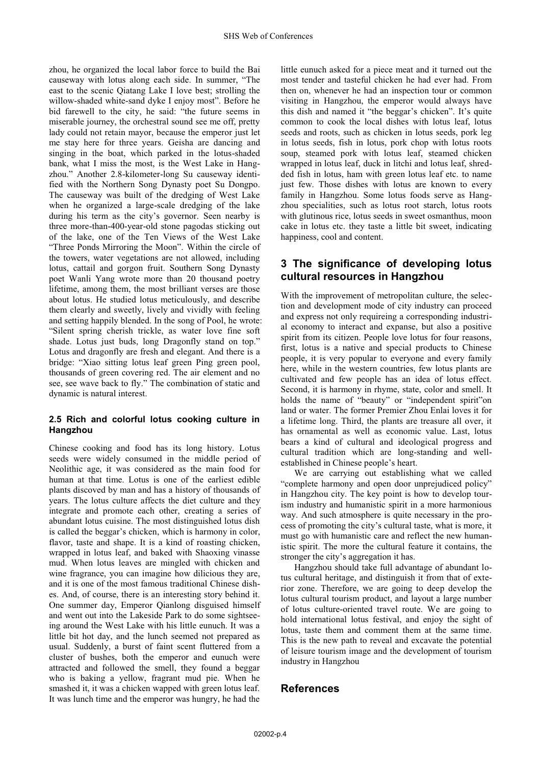zhou, he organized the local labor force to build the Bai causeway with lotus along each side. In summer, "The east to the scenic Qiatang Lake I love best; strolling the willow-shaded white-sand dyke I enjoy most". Before he bid farewell to the city, he said: "the future seems in miserable journey, the orchestral sound see me off, pretty lady could not retain mayor, because the emperor just let me stay here for three years. Geisha are dancing and singing in the boat, which parked in the lotus-shaded bank, what I miss the most, is the West Lake in Hangzhou." Another 2.8-kilometer-long Su causeway identified with the Northern Song Dynasty poet Su Dongpo. The causeway was built of the dredging of West Lake when he organized a large-scale dredging of the lake during his term as the city's governor. Seen nearby is three more-than-400-year-old stone pagodas sticking out of the lake, one of the Ten Views of the West Lake "Three Ponds Mirroring the Moon". Within the circle of the towers, water vegetations are not allowed, including lotus, cattail and gorgon fruit. Southern Song Dynasty poet Wanli Yang wrote more than 20 thousand poetry lifetime, among them, the most brilliant verses are those about lotus. He studied lotus meticulously, and describe them clearly and sweetly, lively and vividly with feeling and setting happily blended. In the song of Pool, he wrote: "Silent spring cherish trickle, as water love fine soft shade. Lotus just buds, long Dragonfly stand on top." Lotus and dragonfly are fresh and elegant. And there is a bridge: "Xiao sitting lotus leaf green Ping green pool, thousands of green covering red. The air element and no see, see wave back to fly." The combination of static and dynamic is natural interest.

### **2.5 Rich and colorful lotus cooking culture in Hangzhou**

Chinese cooking and food has its long history. Lotus seeds were widely consumed in the middle period of Neolithic age, it was considered as the main food for human at that time. Lotus is one of the earliest edible plants discoved by man and has a history of thousands of years. The lotus culture affects the diet culture and they integrate and promote each other, creating a series of abundant lotus cuisine. The most distinguished lotus dish is called the beggar's chicken, which is harmony in color, flavor, taste and shape. It is a kind of roasting chicken, wrapped in lotus leaf, and baked with Shaoxing vinasse mud. When lotus leaves are mingled with chicken and wine fragrance, you can imagine how dilicious they are, and it is one of the most famous traditional Chinese dishes. And, of course, there is an interesting story behind it. One summer day, Emperor Qianlong disguised himself and went out into the Lakeside Park to do some sightseeing around the West Lake with his little eunuch. It was a little bit hot day, and the lunch seemed not prepared as usual. Suddenly, a burst of faint scent fluttered from a cluster of bushes, both the emperor and eunuch were attracted and followed the smell, they found a beggar who is baking a yellow, fragrant mud pie. When he smashed it, it was a chicken wapped with green lotus leaf. It was lunch time and the emperor was hungry, he had the

little eunuch asked for a piece meat and it turned out the most tender and tasteful chicken he had ever had. From then on, whenever he had an inspection tour or common visiting in Hangzhou, the emperor would always have this dish and named it "the beggar's chicken". It's quite common to cook the local dishes with lotus leaf, lotus seeds and roots, such as chicken in lotus seeds, pork leg in lotus seeds, fish in lotus, pork chop with lotus roots soup, steamed pork with lotus leaf, steamed chicken wrapped in lotus leaf, duck in litchi and lotus leaf, shredded fish in lotus, ham with green lotus leaf etc. to name just few. Those dishes with lotus are known to every family in Hangzhou. Some lotus foods serve as Hangzhou specialities, such as lotus root starch, lotus roots with glutinous rice, lotus seeds in sweet osmanthus, moon cake in lotus etc. they taste a little bit sweet, indicating happiness, cool and content.

# **3 The significance of developing lotus cultural resources in Hangzhou**

With the improvement of metropolitan culture, the selection and development mode of city industry can proceed and express not only requireing a corresponding industrial economy to interact and expanse, but also a positive spirit from its citizen. People love lotus for four reasons, first, lotus is a native and special products to Chinese people, it is very popular to everyone and every family here, while in the western countries, few lotus plants are cultivated and few people has an idea of lotus effect. Second, it is harmony in rhyme, state, color and smell. It holds the name of "beauty" or "independent spirit"on land or water. The former Premier Zhou Enlai loves it for a lifetime long. Third, the plants are treasure all over, it has ornamental as well as economic value. Last, lotus bears a kind of cultural and ideological progress and cultural tradition which are long-standing and wellestablished in Chinese people's heart.

We are carrying out establishing what we called "complete harmony and open door unprejudiced policy" in Hangzhou city. The key point is how to develop tourism industry and humanistic spirit in a more harmonious way. And such atmosphere is quite necessary in the process of promoting the city's cultural taste, what is more, it must go with humanistic care and reflect the new humanistic spirit. The more the cultural feature it contains, the stronger the city's aggregation it has.

Hangzhou should take full advantage of abundant lotus cultural heritage, and distinguish it from that of exterior zone. Therefore, we are going to deep develop the lotus cultural tourism product, and layout a large number of lotus culture-oriented travel route. We are going to hold international lotus festival, and enjoy the sight of lotus, taste them and comment them at the same time. This is the new path to reveal and excavate the potential of leisure tourism image and the development of tourism industry in Hangzhou

### **References**